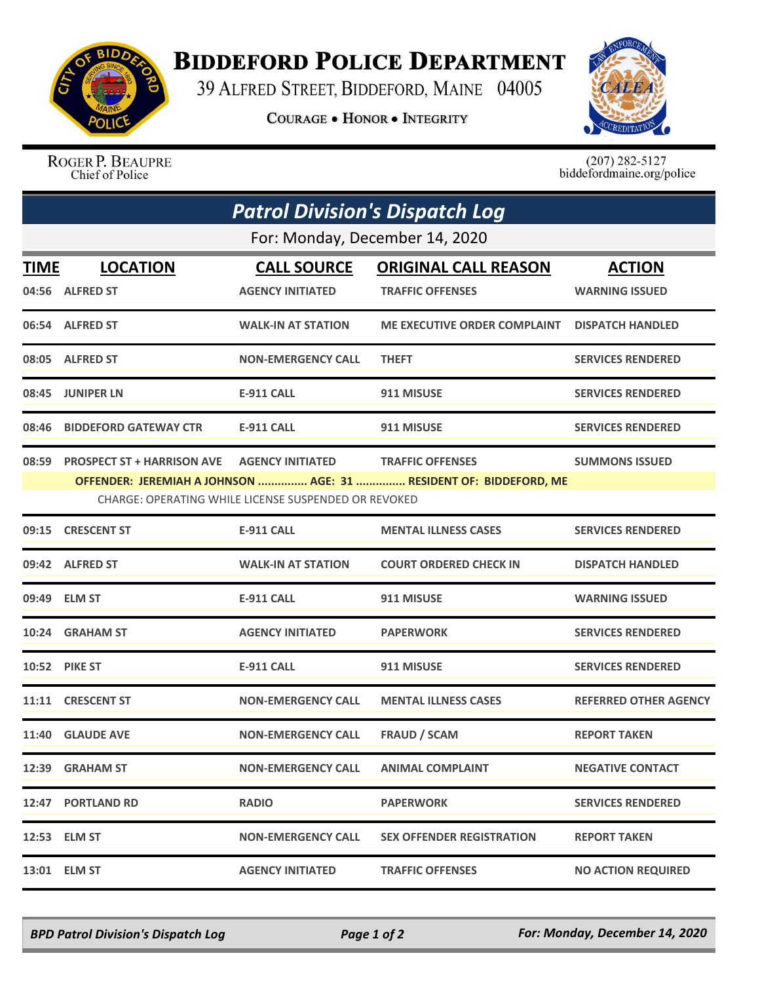

## **BIDDEFORD POLICE DEPARTMENT**

39 ALFRED STREET, BIDDEFORD, MAINE 04005

**COURAGE . HONOR . INTEGRITY** 



ROGER P. BEAUPRE Chief of Police

 $(207)$  282-5127<br>biddefordmaine.org/police

| <b>Patrol Division's Dispatch Log</b><br>For: Monday, December 14, 2020 |                                   |                           |                                                                   |                              |  |  |
|-------------------------------------------------------------------------|-----------------------------------|---------------------------|-------------------------------------------------------------------|------------------------------|--|--|
|                                                                         |                                   |                           |                                                                   |                              |  |  |
|                                                                         | 04:56 ALFRED ST                   | <b>AGENCY INITIATED</b>   | <b>TRAFFIC OFFENSES</b>                                           | <b>WARNING ISSUED</b>        |  |  |
|                                                                         | 06:54 ALFRED ST                   | <b>WALK-IN AT STATION</b> | <b>ME EXECUTIVE ORDER COMPLAINT</b>                               | <b>DISPATCH HANDLED</b>      |  |  |
|                                                                         | 08:05 ALFRED ST                   | <b>NON-EMERGENCY CALL</b> | <b>THEFT</b>                                                      | <b>SERVICES RENDERED</b>     |  |  |
|                                                                         | 08:45 JUNIPER LN                  | E-911 CALL                | 911 MISUSE                                                        | <b>SERVICES RENDERED</b>     |  |  |
| 08:46                                                                   | <b>BIDDEFORD GATEWAY CTR</b>      | <b>E-911 CALL</b>         | 911 MISUSE                                                        | <b>SERVICES RENDERED</b>     |  |  |
| 08:59                                                                   | <b>PROSPECT ST + HARRISON AVE</b> | <b>AGENCY INITIATED</b>   | <b>TRAFFIC OFFENSES</b>                                           | <b>SUMMONS ISSUED</b>        |  |  |
|                                                                         |                                   |                           | OFFENDER: JEREMIAH A JOHNSON  AGE: 31  RESIDENT OF: BIDDEFORD, ME |                              |  |  |
| CHARGE: OPERATING WHILE LICENSE SUSPENDED OR REVOKED                    |                                   |                           |                                                                   |                              |  |  |
| 09:15                                                                   | <b>CRESCENT ST</b>                | <b>E-911 CALL</b>         | <b>MENTAL ILLNESS CASES</b>                                       | <b>SERVICES RENDERED</b>     |  |  |
|                                                                         | 09:42 ALFRED ST                   | <b>WALK-IN AT STATION</b> | <b>COURT ORDERED CHECK IN</b>                                     | <b>DISPATCH HANDLED</b>      |  |  |
| 09:49                                                                   | <b>ELM ST</b>                     | <b>E-911 CALL</b>         | 911 MISUSE                                                        | <b>WARNING ISSUED</b>        |  |  |
|                                                                         | 10:24 GRAHAM ST                   | <b>AGENCY INITIATED</b>   | <b>PAPERWORK</b>                                                  | <b>SERVICES RENDERED</b>     |  |  |
|                                                                         | 10:52 PIKE ST                     | <b>E-911 CALL</b>         | 911 MISUSE                                                        | <b>SERVICES RENDERED</b>     |  |  |
| 11:11                                                                   | <b>CRESCENT ST</b>                | <b>NON-EMERGENCY CALL</b> | <b>MENTAL ILLNESS CASES</b>                                       | <b>REFERRED OTHER AGENCY</b> |  |  |
|                                                                         | 11:40 GLAUDE AVE                  | <b>NON-EMERGENCY CALL</b> | <b>FRAUD / SCAM</b>                                               | <b>REPORT TAKEN</b>          |  |  |
|                                                                         | 12:39 GRAHAM ST                   | <b>NON-EMERGENCY CALL</b> | <b>ANIMAL COMPLAINT</b>                                           | <b>NEGATIVE CONTACT</b>      |  |  |
|                                                                         | 12:47 PORTLAND RD                 | <b>RADIO</b>              | <b>PAPERWORK</b>                                                  | <b>SERVICES RENDERED</b>     |  |  |
|                                                                         | 12:53 ELM ST                      | <b>NON-EMERGENCY CALL</b> | <b>SEX OFFENDER REGISTRATION</b>                                  | <b>REPORT TAKEN</b>          |  |  |
|                                                                         | 13:01 ELM ST                      | <b>AGENCY INITIATED</b>   | <b>TRAFFIC OFFENSES</b>                                           | <b>NO ACTION REQUIRED</b>    |  |  |